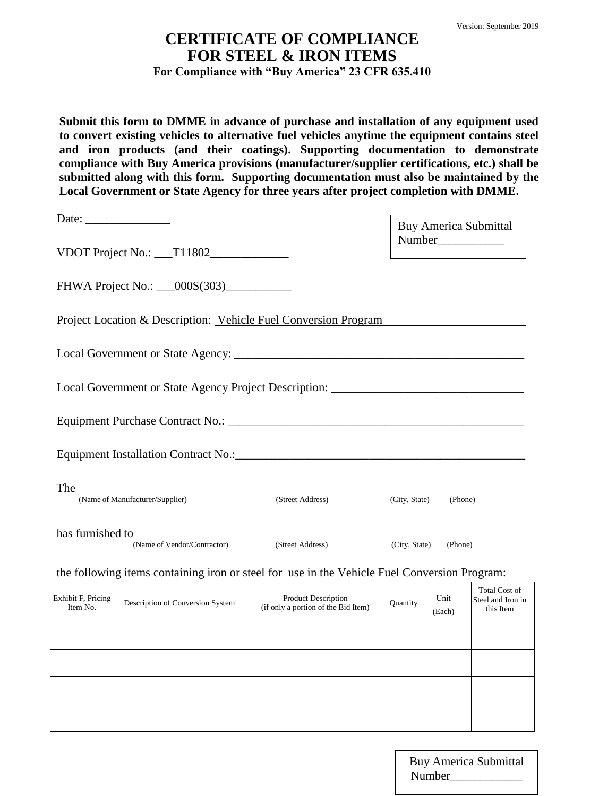## **CERTIFICATE OF COMPLIANCE FOR STEEL & IRON ITEMS For Compliance with "Buy America" 23 CFR 635.410**

**Submit this form to DMME in advance of purchase and installation of any equipment used to convert existing vehicles to alternative fuel vehicles anytime the equipment contains steel and iron products (and their coatings). Supporting documentation to demonstrate compliance with Buy America provisions (manufacturer/supplier certifications, etc.) shall be submitted along with this form. Supporting documentation must also be maintained by the Local Government or State Agency for three years after project completion with DMME.** 

| Date: $\frac{1}{\sqrt{1-\frac{1}{2}}\sqrt{1-\frac{1}{2}}\sqrt{1-\frac{1}{2}}\sqrt{1-\frac{1}{2}}\sqrt{1-\frac{1}{2}}\sqrt{1-\frac{1}{2}}\sqrt{1-\frac{1}{2}}\sqrt{1-\frac{1}{2}}\sqrt{1-\frac{1}{2}}\sqrt{1-\frac{1}{2}}\sqrt{1-\frac{1}{2}}\sqrt{1-\frac{1}{2}}\sqrt{1-\frac{1}{2}}\sqrt{1-\frac{1}{2}}\sqrt{1-\frac{1}{2}}\sqrt{1-\frac{1}{2}}\sqrt{1-\frac{1}{2}}\sqrt{1-\frac{1}{2}}\sqrt{1-\frac{1}{2}}$ |                                    |                                                                                              |               |         | <b>Buy America Submittal</b> |
|---------------------------------------------------------------------------------------------------------------------------------------------------------------------------------------------------------------------------------------------------------------------------------------------------------------------------------------------------------------------------------------------------------------|------------------------------------|----------------------------------------------------------------------------------------------|---------------|---------|------------------------------|
|                                                                                                                                                                                                                                                                                                                                                                                                               |                                    |                                                                                              |               |         |                              |
|                                                                                                                                                                                                                                                                                                                                                                                                               |                                    |                                                                                              |               |         |                              |
|                                                                                                                                                                                                                                                                                                                                                                                                               |                                    | Project Location & Description: Vehicle Fuel Conversion Program                              |               |         |                              |
|                                                                                                                                                                                                                                                                                                                                                                                                               |                                    |                                                                                              |               |         |                              |
|                                                                                                                                                                                                                                                                                                                                                                                                               |                                    | Local Government or State Agency Project Description:                                        |               |         |                              |
|                                                                                                                                                                                                                                                                                                                                                                                                               |                                    |                                                                                              |               |         |                              |
|                                                                                                                                                                                                                                                                                                                                                                                                               |                                    |                                                                                              |               |         |                              |
|                                                                                                                                                                                                                                                                                                                                                                                                               | The Wame of Manufacturer/Supplier) | (Street Address)                                                                             | (City, State) | (Phone) |                              |
|                                                                                                                                                                                                                                                                                                                                                                                                               |                                    |                                                                                              |               |         |                              |
|                                                                                                                                                                                                                                                                                                                                                                                                               |                                    | (Name of Vendor/Contractor) (Street Address)                                                 | (City, State) | (Phone) |                              |
|                                                                                                                                                                                                                                                                                                                                                                                                               |                                    | the following items containing iron or steel for use in the Vehicle Fuel Conversion Program: |               |         |                              |
|                                                                                                                                                                                                                                                                                                                                                                                                               |                                    |                                                                                              |               |         | <b>Total Cost of</b>         |

| Exhibit F, Pricing<br>Item No. | Description of Conversion System | <b>Product Description</b><br>(if only a portion of the Bid Item) | Quantity | Unit<br>(Each) | Total Cost of<br>Steel and Iron in<br>this Item |
|--------------------------------|----------------------------------|-------------------------------------------------------------------|----------|----------------|-------------------------------------------------|
|                                |                                  |                                                                   |          |                |                                                 |
|                                |                                  |                                                                   |          |                |                                                 |
|                                |                                  |                                                                   |          |                |                                                 |
|                                |                                  |                                                                   |          |                |                                                 |

Page **1** of **2** Buy America Submittal Number\_\_\_\_\_\_\_\_\_\_\_\_